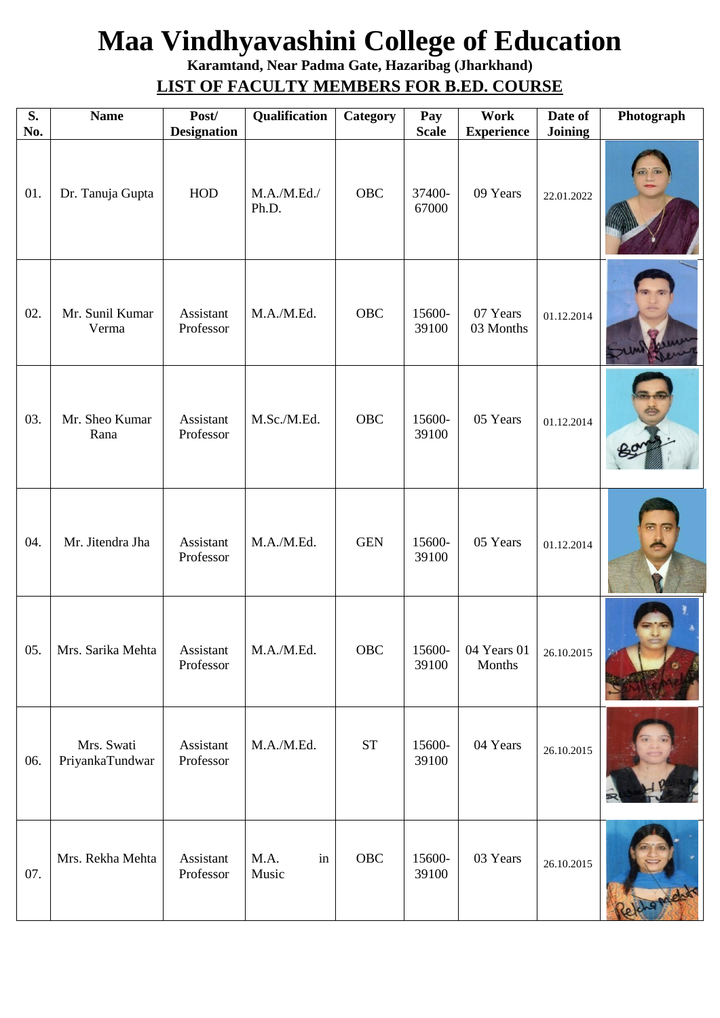## **Maa Vindhyavashini College of Education**

**Karamtand, Near Padma Gate, Hazaribag (Jharkhand) LIST OF FACULTY MEMBERS FOR B.ED. COURSE**

| $\overline{\mathbf{S}}$ .<br>No. | <b>Name</b>                   | Post/<br><b>Designation</b> | Qualification        | Category            | Pay<br><b>Scale</b> | Work<br><b>Experience</b> | Date of<br><b>Joining</b> | Photograph |
|----------------------------------|-------------------------------|-----------------------------|----------------------|---------------------|---------------------|---------------------------|---------------------------|------------|
| 01.                              | Dr. Tanuja Gupta              | HOD                         | M.A./M.Ed./<br>Ph.D. | <b>OBC</b>          | 37400-<br>67000     | 09 Years                  | 22.01.2022                |            |
| 02.                              | Mr. Sunil Kumar<br>Verma      | Assistant<br>Professor      | M.A./M.Ed.           | <b>OBC</b>          | 15600-<br>39100     | 07 Years<br>03 Months     | 01.12.2014                |            |
| 03.                              | Mr. Sheo Kumar<br>Rana        | Assistant<br>Professor      | M.Sc./M.Ed.          | <b>OBC</b>          | 15600-<br>39100     | 05 Years                  | 01.12.2014                |            |
| 04.                              | Mr. Jitendra Jha              | Assistant<br>Professor      | M.A./M.Ed.           | <b>GEN</b>          | 15600-<br>39100     | 05 Years                  | 01.12.2014                |            |
| 05.                              | Mrs. Sarika Mehta             | Assistant<br>Professor      | M.A./M.Ed.           | OBC                 | 15600-<br>39100     | 04 Years 01<br>Months     | 26.10.2015                |            |
| 06.                              | Mrs. Swati<br>PriyankaTundwar | Assistant<br>Professor      | M.A./M.Ed.           | $\operatorname{ST}$ | 15600-<br>39100     | 04 Years                  | 26.10.2015                |            |
| 07.                              | Mrs. Rekha Mehta              | Assistant<br>Professor      | M.A.<br>in<br>Music  | OBC                 | 15600-<br>39100     | 03 Years                  | 26.10.2015                |            |